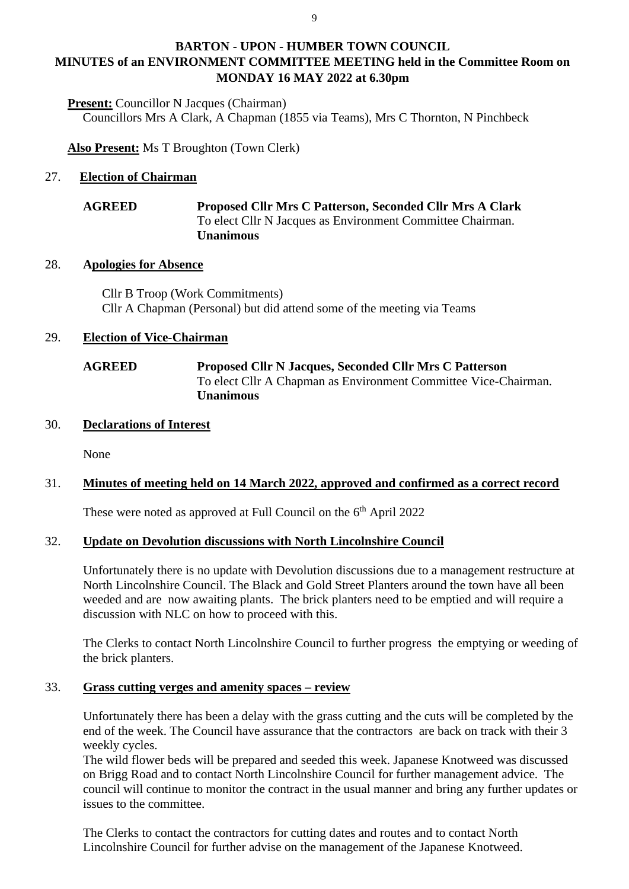## **BARTON - UPON - HUMBER TOWN COUNCIL MINUTES of an ENVIRONMENT COMMITTEE MEETING held in the Committee Room on MONDAY 16 MAY 2022 at 6.30pm**

**Present:** Councillor N Jacques (Chairman) Councillors Mrs A Clark, A Chapman (1855 via Teams), Mrs C Thornton, N Pinchbeck

**Also Present:** Ms T Broughton (Town Clerk)

## 27. **Election of Chairman**

### **AGREED Proposed Cllr Mrs C Patterson, Seconded Cllr Mrs A Clark** To elect Cllr N Jacques as Environment Committee Chairman. **Unanimous**

### 28. **Apologies for Absence**

Cllr B Troop (Work Commitments) Cllr A Chapman (Personal) but did attend some of the meeting via Teams

#### 29. **Election of Vice-Chairman**

## **AGREED Proposed Cllr N Jacques, Seconded Cllr Mrs C Patterson** To elect Cllr A Chapman as Environment Committee Vice-Chairman. **Unanimous**

### 30. **Declarations of Interest**

None

## 31. **Minutes of meeting held on 14 March 2022, approved and confirmed as a correct record**

These were noted as approved at Full Council on the 6<sup>th</sup> April 2022

### 32. **Update on Devolution discussions with North Lincolnshire Council**

Unfortunately there is no update with Devolution discussions due to a management restructure at North Lincolnshire Council. The Black and Gold Street Planters around the town have all been weeded and are now awaiting plants. The brick planters need to be emptied and will require a discussion with NLC on how to proceed with this.

The Clerks to contact North Lincolnshire Council to further progress the emptying or weeding of the brick planters.

### 33. **Grass cutting verges and amenity spaces – review**

Unfortunately there has been a delay with the grass cutting and the cuts will be completed by the end of the week. The Council have assurance that the contractors are back on track with their 3 weekly cycles.

The wild flower beds will be prepared and seeded this week. Japanese Knotweed was discussed on Brigg Road and to contact North Lincolnshire Council for further management advice. The council will continue to monitor the contract in the usual manner and bring any further updates or issues to the committee.

The Clerks to contact the contractors for cutting dates and routes and to contact North Lincolnshire Council for further advise on the management of the Japanese Knotweed.